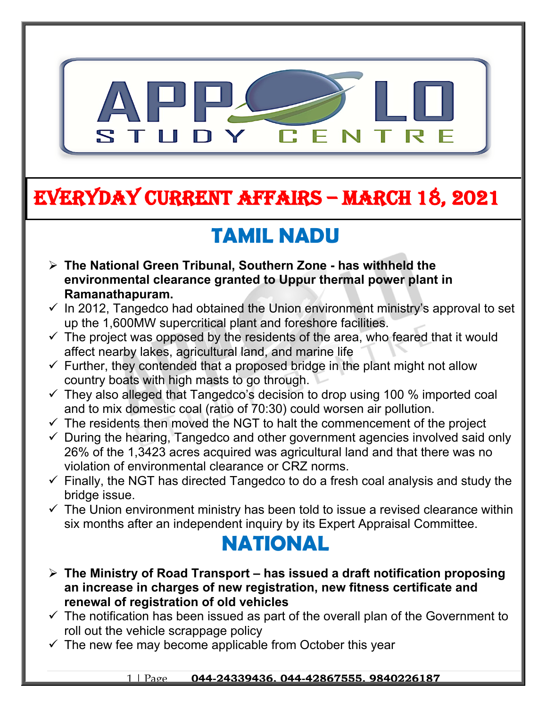

# **EVERYDAY CURRENT AFFAIRS – march 18, 2021**

# **TAMIL NADU**

 **The National Green Tribunal, Southern Zone - has withheld the environmental clearance granted to Uppur thermal power plant in Ramanathapuram.**

**-**

- $\checkmark$  In 2012, Tangedco had obtained the Union environment ministry's approval to set up the 1,600MW supercritical plant and foreshore facilities.
- $\checkmark$  The project was opposed by the residents of the area, who feared that it would affect nearby lakes, agricultural land, and marine life
- $\checkmark$  Further, they contended that a proposed bridge in the plant might not allow country boats with high masts to go through.
- $\checkmark$  They also alleged that Tangedco's decision to drop using 100 % imported coal and to mix domestic coal (ratio of 70:30) could worsen air pollution.
- $\checkmark$  The residents then moved the NGT to halt the commencement of the project
- $\checkmark$  During the hearing, Tangedco and other government agencies involved said only 26% of the 1,3423 acres acquired was agricultural land and that there was no violation of environmental clearance or CRZ norms.
- $\checkmark$  Finally, the NGT has directed Tangedco to do a fresh coal analysis and study the bridge issue.
- $\checkmark$  The Union environment ministry has been told to issue a revised clearance within six months after an independent inquiry by its Expert Appraisal Committee.

### **NATIONAL**

- **The Ministry of Road Transport has issued a draft notification proposing an increase in charges of new registration, new fitness certificate and renewal of registration of old vehicles**
- $\checkmark$  The notification has been issued as part of the overall plan of the Government to roll out the vehicle scrappage policy
- $\checkmark$  The new fee may become applicable from October this year

#### 1 | Page **044-24339436, 044-42867555, 9840226187**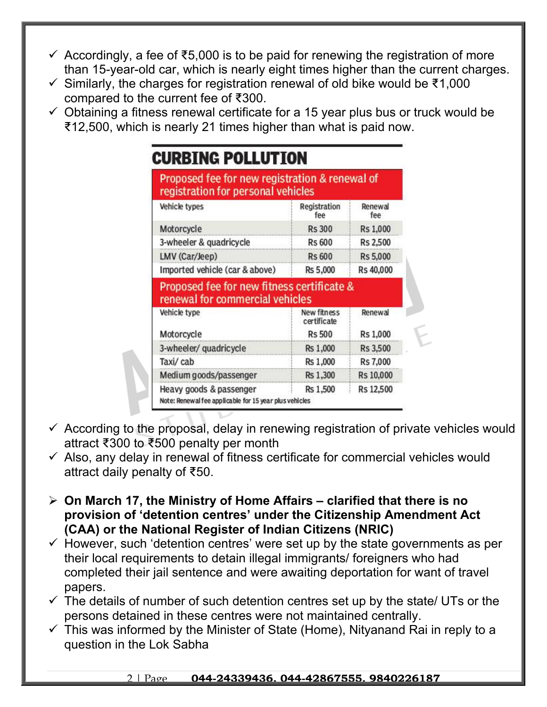- Accordingly, a fee of ₹5,000 is to be paid for renewing the registration of more than 15-year-old car, which is nearly eight times higher than the current charges.
- Similarly, the charges for registration renewal of old bike would be ₹1,000 compared to the current fee of ₹300.
- $\checkmark$  Obtaining a fitness renewal certificate for a 15 year plus bus or truck would be ₹12,500, which is nearly 21 times higher than what is paid now.

| Proposed fee for new registration & renewal of<br>registration for personal vehicles                                                                                        |                                   |                |
|-----------------------------------------------------------------------------------------------------------------------------------------------------------------------------|-----------------------------------|----------------|
| Vehicle types                                                                                                                                                               | Registration<br>fee               | Renewal<br>fee |
| Motorcycle                                                                                                                                                                  | <b>Rs 300</b>                     | Rs 1,000       |
| 3-wheeler & quadricycle                                                                                                                                                     | <b>Rs 600</b>                     | Rs 2,500       |
| LMV (Car/Jeep)                                                                                                                                                              | <b>Rs 600</b>                     | Rs 5,000       |
| Imported vehicle (car & above)                                                                                                                                              | Rs 5,000                          | Rs 40,000      |
|                                                                                                                                                                             |                                   |                |
|                                                                                                                                                                             |                                   |                |
|                                                                                                                                                                             | <b>New fitness</b><br>certificate | Renewal        |
|                                                                                                                                                                             | <b>Rs 500</b>                     | Rs 1,000       |
|                                                                                                                                                                             | Rs 1,000                          | Rs 3,500       |
|                                                                                                                                                                             | Rs 1,000                          | Rs 7,000       |
| Proposed fee for new fitness certificate &<br>renewal for commercial vehicles<br>Vehicle type<br>Motorcycle<br>3-wheeler/ quadricycle<br>Taxi/cab<br>Medium goods/passenger | Rs 1,300                          | Rs 10,000      |

- $\checkmark$  According to the proposal, delay in renewing registration of private vehicles would attract ₹300 to ₹500 penalty per month
- $\checkmark$  Also, any delay in renewal of fitness certificate for commercial vehicles would attract daily penalty of ₹50.
- **On March 17, the Ministry of Home Affairs clarified that there is no provision of 'detention centres' under the Citizenship Amendment Act (CAA) or the National Register of Indian Citizens (NRIC)**
- $\checkmark$  However, such 'detention centres' were set up by the state governments as per their local requirements to detain illegal immigrants/ foreigners who had completed their jail sentence and were awaiting deportation for want of travel papers.
- $\checkmark$  The details of number of such detention centres set up by the state/ UTs or the persons detained in these centres were not maintained centrally.
- $\checkmark$  This was informed by the Minister of State (Home), Nityanand Rai in reply to a question in the Lok Sabha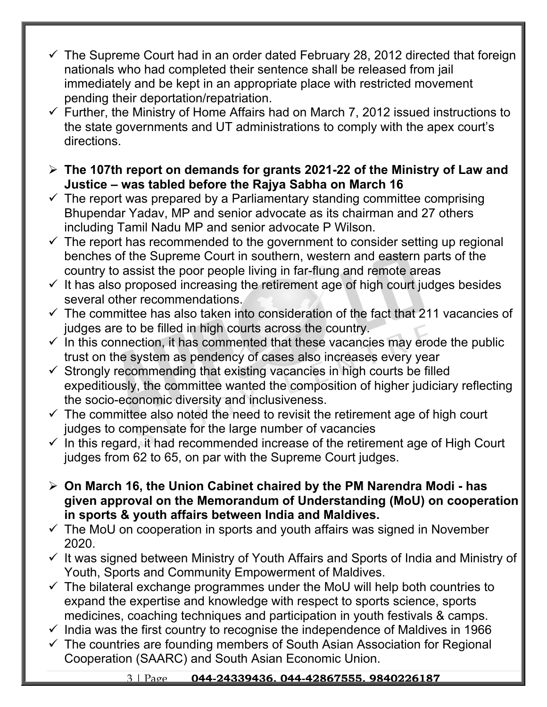- The Supreme Court had in an order dated February 28, 2012 directed that foreign nationals who had completed their sentence shall be released from jail immediately and be kept in an appropriate place with restricted movement pending their deportation/repatriation.
- $\checkmark$  Further, the Ministry of Home Affairs had on March 7, 2012 issued instructions to the state governments and UT administrations to comply with the apex court's directions.
- **The 107th report on demands for grants 2021-22 of the Ministry of Law and Justice – was tabled before the Rajya Sabha on March 16**
- $\checkmark$  The report was prepared by a Parliamentary standing committee comprising Bhupendar Yadav, MP and senior advocate as its chairman and 27 others including Tamil Nadu MP and senior advocate P Wilson.
- $\checkmark$  The report has recommended to the government to consider setting up regional benches of the Supreme Court in southern, western and eastern parts of the country to assist the poor people living in far-flung and remote areas
- $\checkmark$  It has also proposed increasing the retirement age of high court judges besides several other recommendations.
- $\checkmark$  The committee has also taken into consideration of the fact that 211 vacancies of judges are to be filled in high courts across the country.
- $\checkmark$  In this connection, it has commented that these vacancies may erode the public trust on the system as pendency of cases also increases every year
- $\checkmark$  Strongly recommending that existing vacancies in high courts be filled expeditiously, the committee wanted the composition of higher judiciary reflecting the socio-economic diversity and inclusiveness.
- $\checkmark$  The committee also noted the need to revisit the retirement age of high court judges to compensate for the large number of vacancies
- $\checkmark$  In this regard, it had recommended increase of the retirement age of High Court judges from 62 to 65, on par with the Supreme Court judges.
- **On March 16, the Union Cabinet chaired by the PM Narendra Modi has given approval on the Memorandum of Understanding (MoU) on cooperation in sports & youth affairs between India and Maldives.**
- $\checkmark$  The MoU on cooperation in sports and youth affairs was signed in November 2020.
- $\checkmark$  It was signed between Ministry of Youth Affairs and Sports of India and Ministry of Youth, Sports and Community Empowerment of Maldives.
- $\checkmark$  The bilateral exchange programmes under the MoU will help both countries to expand the expertise and knowledge with respect to sports science, sports medicines, coaching techniques and participation in youth festivals & camps.
- $\checkmark$  India was the first country to recognise the independence of Maldives in 1966
- $\checkmark$  The countries are founding members of South Asian Association for Regional Cooperation (SAARC) and South Asian Economic Union.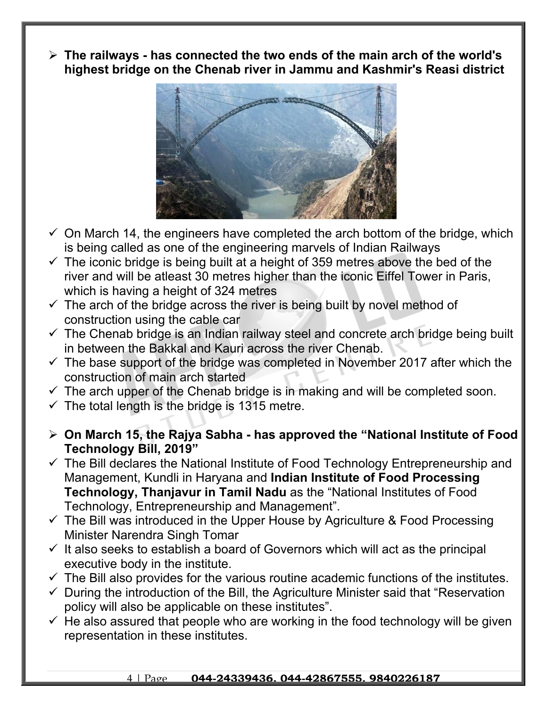**The railways - has connected the two ends of the main arch of the world's highest bridge on the Chenab river in Jammu and Kashmir's Reasi district**



- $\checkmark$  On March 14, the engineers have completed the arch bottom of the bridge, which is being called as one of the engineering marvels of Indian Railways
- $\checkmark$  The iconic bridge is being built at a height of 359 metres above the bed of the river and will be atleast 30 metres higher than the iconic Eiffel Tower in Paris, which is having a height of 324 metres
- $\checkmark$  The arch of the bridge across the river is being built by novel method of construction using the cable car
- $\checkmark$  The Chenab bridge is an Indian railway steel and concrete arch bridge being built in between the Bakkal and Kauri across the river Chenab.
- $\checkmark$  The base support of the bridge was completed in November 2017 after which the construction of main arch started
- $\checkmark$  The arch upper of the Chenab bridge is in making and will be completed soon.
- $\checkmark$  The total length is the bridge is 1315 metre.
- **On March 15, the Rajya Sabha has approved the "National Institute of Food Technology Bill, 2019"**
- $\checkmark$  The Bill declares the National Institute of Food Technology Entrepreneurship and Management, Kundli in Haryana and **Indian Institute of Food Processing Technology, Thanjavur in Tamil Nadu** as the "National Institutes of Food Technology, Entrepreneurship and Management".
- $\checkmark$  The Bill was introduced in the Upper House by Agriculture & Food Processing Minister Narendra Singh Tomar
- $\checkmark$  It also seeks to establish a board of Governors which will act as the principal executive body in the institute.
- $\checkmark$  The Bill also provides for the various routine academic functions of the institutes.
- $\checkmark$  During the introduction of the Bill, the Agriculture Minister said that "Reservation policy will also be applicable on these institutes".
- $\checkmark$  He also assured that people who are working in the food technology will be given representation in these institutes.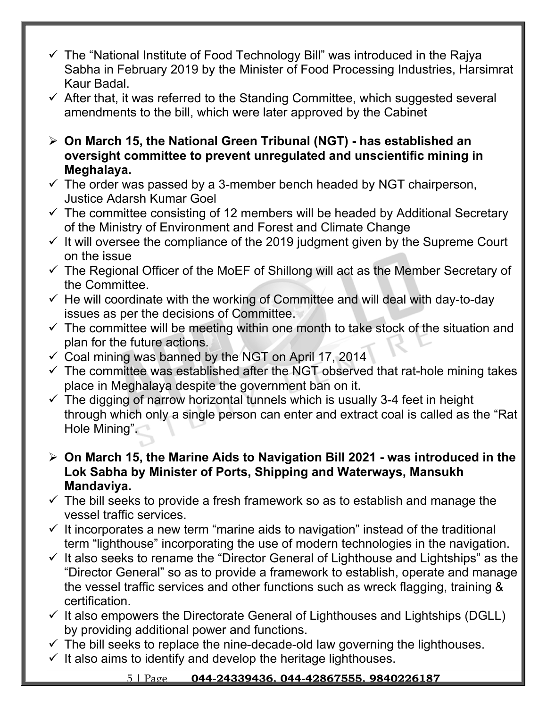- $\checkmark$  The "National Institute of Food Technology Bill" was introduced in the Rajya Sabha in February 2019 by the Minister of Food Processing Industries, Harsimrat Kaur Badal.
- $\checkmark$  After that, it was referred to the Standing Committee, which suggested several amendments to the bill, which were later approved by the Cabinet
- **On March 15, the National Green Tribunal (NGT) has established an oversight committee to prevent unregulated and unscientific mining in Meghalaya.**
- $\checkmark$  The order was passed by a 3-member bench headed by NGT chairperson, Justice Adarsh Kumar Goel
- $\checkmark$  The committee consisting of 12 members will be headed by Additional Secretary of the Ministry of Environment and Forest and Climate Change
- $\checkmark$  It will oversee the compliance of the 2019 judgment given by the Supreme Court on the issue
- $\checkmark$  The Regional Officer of the MoEF of Shillong will act as the Member Secretary of the Committee.
- $\checkmark$  He will coordinate with the working of Committee and will deal with day-to-day issues as per the decisions of Committee.
- $\checkmark$  The committee will be meeting within one month to take stock of the situation and plan for the future actions.
- $\checkmark$  Coal mining was banned by the NGT on April 17, 2014
- $\checkmark$  The committee was established after the NGT observed that rat-hole mining takes place in Meghalaya despite the government ban on it.
- $\checkmark$  The digging of narrow horizontal tunnels which is usually 3-4 feet in height through which only a single person can enter and extract coal is called as the "Rat Hole Mining".
- **On March 15, the Marine Aids to Navigation Bill 2021 was introduced in the Lok Sabha by Minister of Ports, Shipping and Waterways, Mansukh Mandaviya.**
- $\checkmark$  The bill seeks to provide a fresh framework so as to establish and manage the vessel traffic services.
- $\checkmark$  It incorporates a new term "marine aids to navigation" instead of the traditional term "lighthouse" incorporating the use of modern technologies in the navigation.
- $\checkmark$  It also seeks to rename the "Director General of Lighthouse and Lightships" as the "Director General" so as to provide a framework to establish, operate and manage the vessel traffic services and other functions such as wreck flagging, training & certification.
- $\checkmark$  It also empowers the Directorate General of Lighthouses and Lightships (DGLL) by providing additional power and functions.
- $\checkmark$  The bill seeks to replace the nine-decade-old law governing the lighthouses.
- $\checkmark$  It also aims to identify and develop the heritage lighthouses.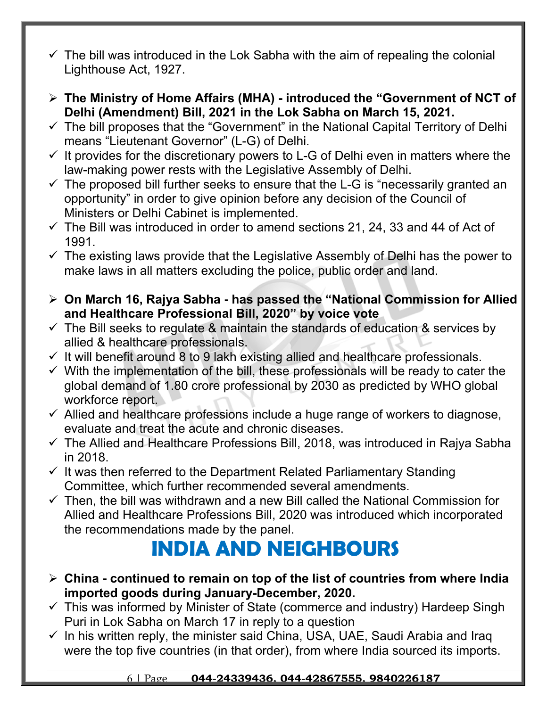- $\checkmark$  The bill was introduced in the Lok Sabha with the aim of repealing the colonial Lighthouse Act, 1927.
- **The Ministry of Home Affairs (MHA) introduced the "Government of NCT of Delhi (Amendment) Bill, 2021 in the Lok Sabha on March 15, 2021.**
- $\checkmark$  The bill proposes that the "Government" in the National Capital Territory of Delhi means "Lieutenant Governor" (L-G) of Delhi.
- $\checkmark$  It provides for the discretionary powers to L-G of Delhi even in matters where the law-making power rests with the Legislative Assembly of Delhi.
- $\checkmark$  The proposed bill further seeks to ensure that the L-G is "necessarily granted an opportunity" in order to give opinion before any decision of the Council of Ministers or Delhi Cabinet is implemented.
- $\checkmark$  The Bill was introduced in order to amend sections 21, 24, 33 and 44 of Act of 1991.
- $\checkmark$  The existing laws provide that the Legislative Assembly of Delhi has the power to make laws in all matters excluding the police, public order and land.
- **On March 16, Rajya Sabha has passed the "National Commission for Allied and Healthcare Professional Bill, 2020" by voice vote**
- $\checkmark$  The Bill seeks to regulate & maintain the standards of education & services by allied & healthcare professionals.
- $\checkmark$  It will benefit around 8 to 9 lakh existing allied and healthcare professionals.
- $\checkmark$  With the implementation of the bill, these professionals will be ready to cater the global demand of 1.80 crore professional by 2030 as predicted by WHO global workforce report.
- $\checkmark$  Allied and healthcare professions include a huge range of workers to diagnose, evaluate and treat the acute and chronic diseases.
- $\checkmark$  The Allied and Healthcare Professions Bill, 2018, was introduced in Rajya Sabha in 2018.
- $\checkmark$  It was then referred to the Department Related Parliamentary Standing Committee, which further recommended several amendments.
- $\checkmark$  Then, the bill was withdrawn and a new Bill called the National Commission for Allied and Healthcare Professions Bill, 2020 was introduced which incorporated the recommendations made by the panel.

## **INDIA AND NEIGHBOURS**

- **China continued to remain on top of the list of countries from where India imported goods during January-December, 2020.**
- $\checkmark$  This was informed by Minister of State (commerce and industry) Hardeep Singh Puri in Lok Sabha on March 17 in reply to a question
- $\checkmark$  In his written reply, the minister said China, USA, UAE, Saudi Arabia and Iraq were the top five countries (in that order), from where India sourced its imports.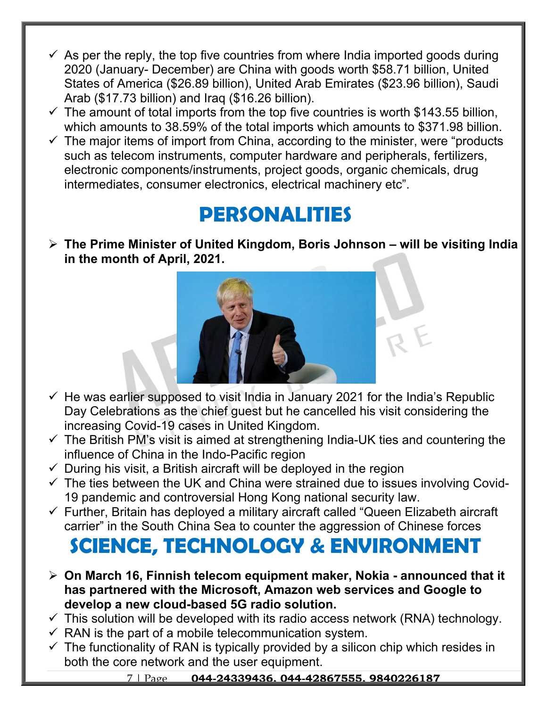- $\checkmark$  As per the reply, the top five countries from where India imported goods during 2020 (January- December) are China with goods worth \$58.71 billion, United States of America (\$26.89 billion), United Arab Emirates (\$23.96 billion), Saudi Arab (\$17.73 billion) and Iraq (\$16.26 billion).
- $\checkmark$  The amount of total imports from the top five countries is worth \$143.55 billion, which amounts to 38.59% of the total imports which amounts to \$371.98 billion.
- $\checkmark$  The major items of import from China, according to the minister, were "products" such as telecom instruments, computer hardware and peripherals, fertilizers, electronic components/instruments, project goods, organic chemicals, drug intermediates, consumer electronics, electrical machinery etc".

#### **PERSONALITIES**

 **The Prime Minister of United Kingdom, Boris Johnson – will be visiting India in the month of April, 2021.** 



- $\checkmark$  He was earlier supposed to visit India in January 2021 for the India's Republic Day Celebrations as the chief guest but he cancelled his visit considering the increasing Covid-19 cases in United Kingdom.
- $\checkmark$  The British PM's visit is aimed at strengthening India-UK ties and countering the influence of China in the Indo-Pacific region
- $\checkmark$  During his visit, a British aircraft will be deployed in the region
- $\checkmark$  The ties between the UK and China were strained due to issues involving Covid-19 pandemic and controversial Hong Kong national security law.
- $\checkmark$  Further, Britain has deployed a military aircraft called "Queen Elizabeth aircraft carrier" in the South China Sea to counter the aggression of Chinese forces

# **SCIENCE, TECHNOLOGY & ENVIRONMENT**

- **On March 16, Finnish telecom equipment maker, Nokia announced that it has partnered with the Microsoft, Amazon web services and Google to develop a new cloud-based 5G radio solution.**
- $\checkmark$  This solution will be developed with its radio access network (RNA) technology.
- $\checkmark$  RAN is the part of a mobile telecommunication system.
- $\checkmark$  The functionality of RAN is typically provided by a silicon chip which resides in both the core network and the user equipment.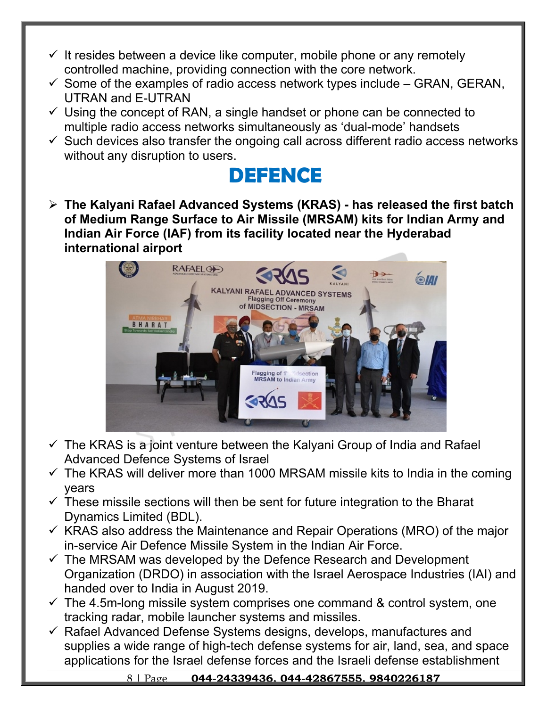- $\checkmark$  It resides between a device like computer, mobile phone or any remotely controlled machine, providing connection with the core network.
- $\checkmark$  Some of the examples of radio access network types include GRAN, GERAN, UTRAN and E-UTRAN
- $\checkmark$  Using the concept of RAN, a single handset or phone can be connected to multiple radio access networks simultaneously as 'dual-mode' handsets
- $\checkmark$  Such devices also transfer the ongoing call across different radio access networks without any disruption to users.



 **The Kalyani Rafael Advanced Systems (KRAS) - has released the first batch of Medium Range Surface to Air Missile (MRSAM) kits for Indian Army and Indian Air Force (IAF) from its facility located near the Hyderabad international airport**



- $\checkmark$  The KRAS is a joint venture between the Kalyani Group of India and Rafael Advanced Defence Systems of Israel
- $\checkmark$  The KRAS will deliver more than 1000 MRSAM missile kits to India in the coming years
- $\checkmark$  These missile sections will then be sent for future integration to the Bharat Dynamics Limited (BDL).
- $\checkmark$  KRAS also address the Maintenance and Repair Operations (MRO) of the major in-service Air Defence Missile System in the Indian Air Force.
- $\checkmark$  The MRSAM was developed by the Defence Research and Development Organization (DRDO) in association with the Israel Aerospace Industries (IAI) and handed over to India in August 2019.
- $\checkmark$  The 4.5m-long missile system comprises one command & control system, one tracking radar, mobile launcher systems and missiles.
- $\checkmark$  Rafael Advanced Defense Systems designs, develops, manufactures and supplies a wide range of high-tech defense systems for air, land, sea, and space applications for the Israel defense forces and the Israeli defense establishment